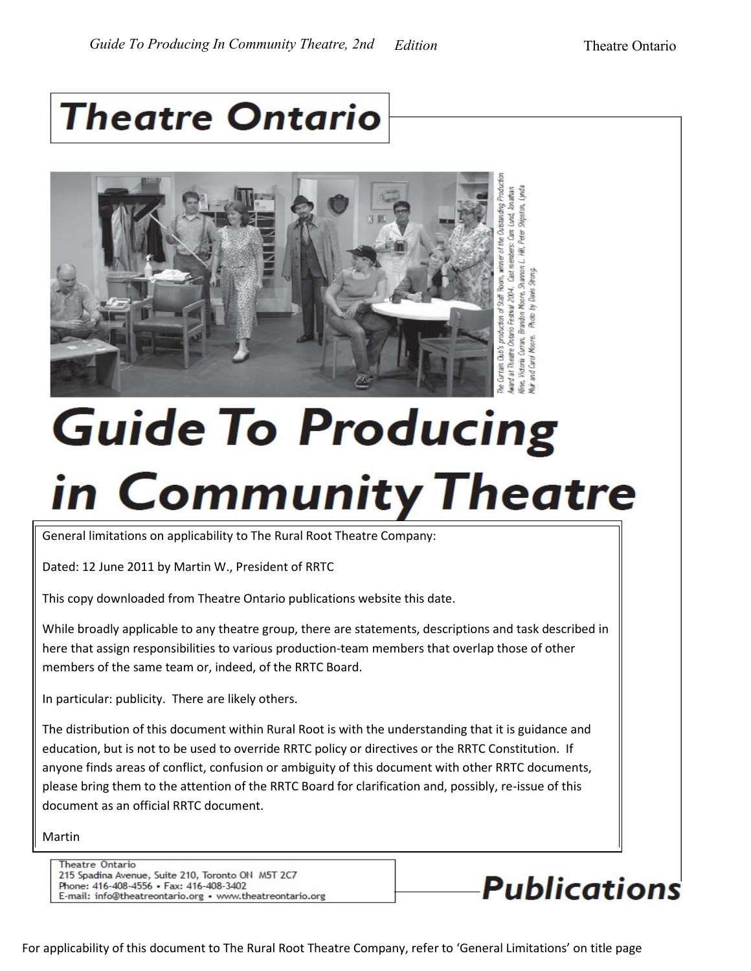## **Theatre Ontario**



# **Guide To Producing** in Community Theatre

General limitations on applicability to The Rural Root Theatre Company:

Dated: 12 June 2011 by Martin W., President of RRTC

This copy downloaded from Theatre Ontario publications website this date.

While broadly applicable to any theatre group, there are statements, descriptions and task described in here that assign responsibilities to various production-team members that overlap those of other members of the same team or, indeed, of the RRTC Board.

In particular: publicity. There are likely others.

The distribution of this document within Rural Root is with the understanding that it is guidance and education, but is not to be used to override RRTC policy or directives or the RRTC Constitution. If anyone finds areas of conflict, confusion or ambiguity of this document with other RRTC documents, please bring them to the attention of the RRTC Board for clarification and, possibly, re-issue of this document as an official RRTC document.

Martin

**Theatre Ontario** 215 Spadina Avenue, Suite 210, Toronto ON M5T 2C7 Phone: 416-408-4556 • Fax: 416-408-3402 E-mail: info@theatreontario.org • www.theatreontario.org



For applicability of this document to The Rural Root Theatre Company, refer to 'General Limitations' on title page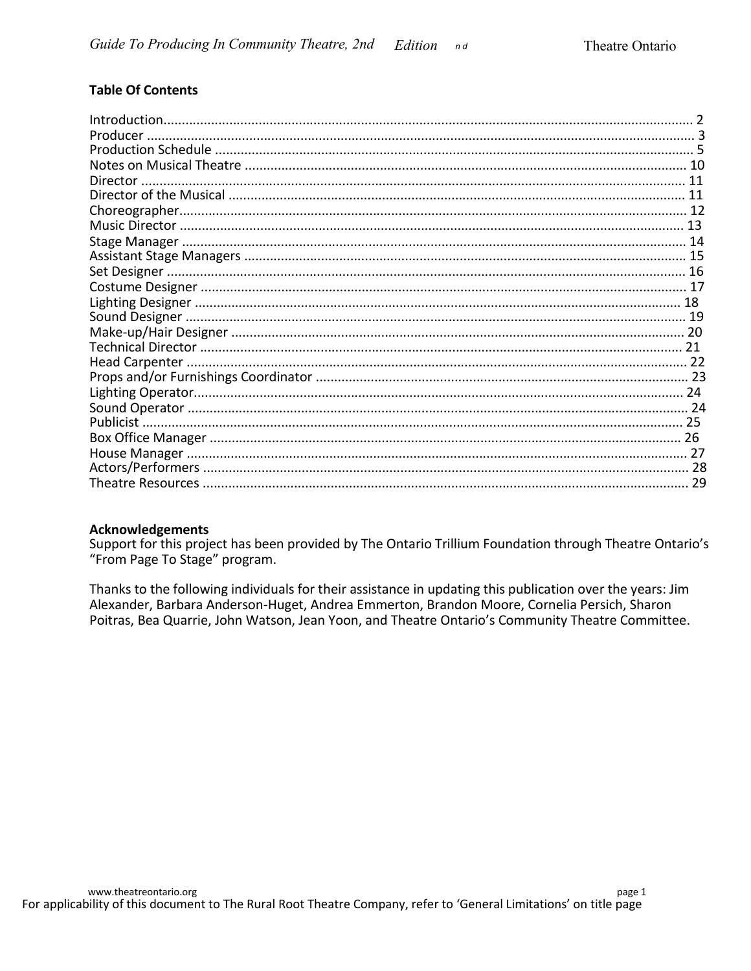#### **Table Of Contents**

| 29 |
|----|

#### **Acknowledgements**

Support for this project has been provided by The Ontario Trillium Foundation through Theatre Ontario's "From Page To Stage" program.

Thanks to the following individuals for their assistance in updating this publication over the years: Jim Alexander, Barbara Anderson-Huget, Andrea Emmerton, Brandon Moore, Cornelia Persich, Sharon Poitras, Bea Quarrie, John Watson, Jean Yoon, and Theatre Ontario's Community Theatre Committee.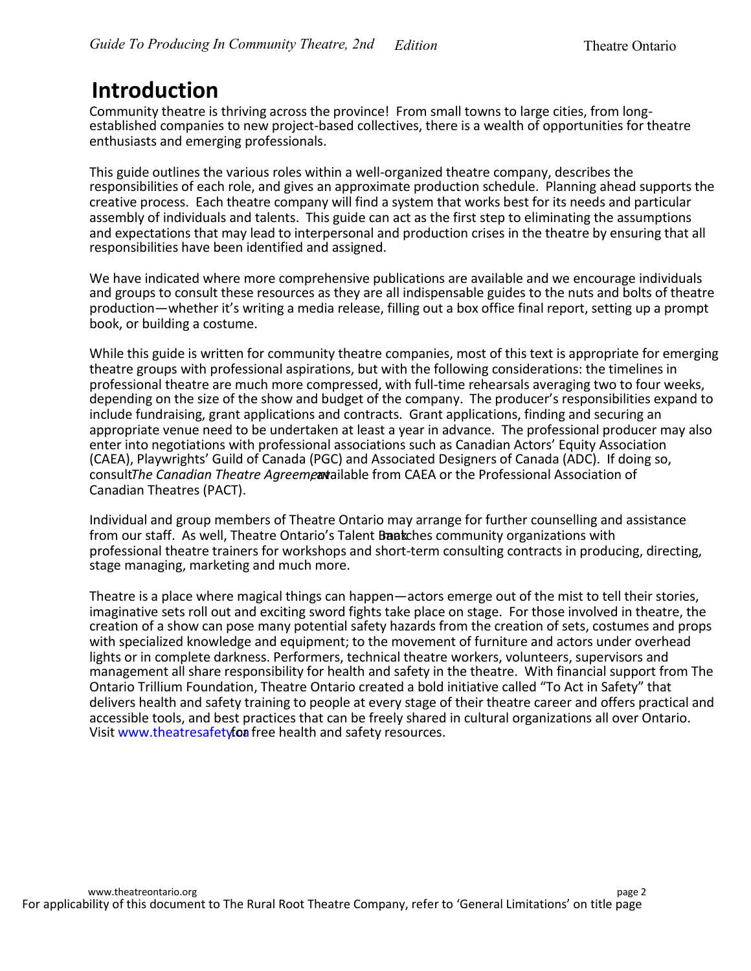### **Introduction**

Community theatre is thriving across the province! From small towns to large cities, from longestablished companies to new project-based collectives, there is a wealth of opportunities for theatre enthusiasts and emerging professionals.

This guide outlines the various roles within a well-organized theatre company, describes the responsibilities of each role, and gives an approximate production schedule. Planning ahead supports the creative process. Each theatre company will find a system that works best for its needs and particular assembly of individuals and talents. This guide can act as the first step to eliminating the assumptions and expectations that may lead to interpersonal and production crises in the theatre by ensuring that all responsibilities have been identified and assigned.

We have indicated where more comprehensive publications are available and we encourage individuals and groups to consult these resources as they are all indispensable guides to the nuts and bolts of theatre production—whether it's writing a media release, filling out a box office final report, setting up a prompt book, or building a costume.

While this guide is written for community theatre companies, most of this text is appropriate for emerging theatre groups with professional aspirations, but with the following considerations: the timelines in professional theatre are much more compressed, with full-time rehearsals averaging two to four weeks, depending on the size of the show and budget of the company. The producer's responsibilities expand to include fundraising, grant applications and contracts. Grant applications, finding and securing an appropriate venue need to be undertaken at least a year in advance. The professional producer may also enter into negotiations with professional associations such as Canadian Actors' Equity Association (CAEA), Playwrights' Guild of Canada (PGC) and Associated Designers of Canada (ADC). If doing so, consult*The Canadian Theatre Agreemea*r allable from CAEA or the Professional Association of Canadian Theatres (PACT).

Individual and group members of Theatre Ontario may arrange for further counselling and assistance from our staff. As well, Theatre Ontario's Talent Bankches community organizations with professional theatre trainers for workshops and short-term consulting contracts in producing, directing, stage managing, marketing and much more.

Theatre is a place where magical things can happen—actors emerge out of the mist to tell their stories, imaginative sets roll out and exciting sword fights take place on stage. For those involved in theatre, the creation of a show can pose many potential safety hazards from the creation of sets, costumes and props with specialized knowledge and equipment; to the movement of furniture and actors under overhead lights or in complete darkness. Performers, technical theatre workers, volunteers, supervisors and management all share responsibility for health and safety in the theatre. With financial support from The Ontario Trillium Foundation, Theatre Ontario created a bold initiative called "To Act in Safety" that delivers health and safety training to people at every stage of their theatre career and offers practical and accessible tools, and best practices that can be freely shared in cultural organizations all over Ontario. Visit www.theatresafety foa free health and safety resources.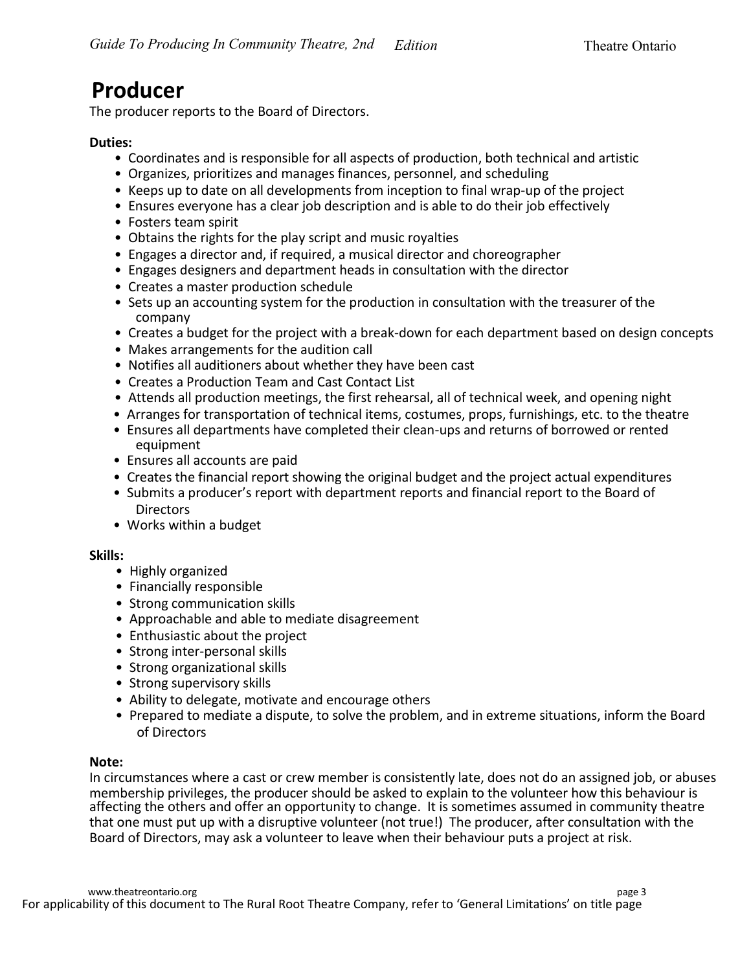### **Producer**

The producer reports to the Board of Directors.

#### **Duties:**

- Coordinates and is responsible for all aspects of production, both technical and artistic
- Organizes, prioritizes and manages finances, personnel, and scheduling
- Keeps up to date on all developments from inception to final wrap-up of the project
- Ensures everyone has a clear job description and is able to do their job effectively
- Fosters team spirit
- Obtains the rights for the play script and music royalties
- Engages a director and, if required, a musical director and choreographer
- Engages designers and department heads in consultation with the director
- Creates a master production schedule
- Sets up an accounting system for the production in consultation with the treasurer of the company
- Creates a budget for the project with a break-down for each department based on design concepts
- Makes arrangements for the audition call
- Notifies all auditioners about whether they have been cast
- Creates a Production Team and Cast Contact List
- Attends all production meetings, the first rehearsal, all of technical week, and opening night
- Arranges for transportation of technical items, costumes, props, furnishings, etc. to the theatre
- Ensures all departments have completed their clean-ups and returns of borrowed or rented equipment
- Ensures all accounts are paid
- Creates the financial report showing the original budget and the project actual expenditures
- Submits a producer's report with department reports and financial report to the Board of **Directors**
- Works within a budget

#### **Skills:**

- Highly organized
- Financially responsible
- Strong communication skills
- Approachable and able to mediate disagreement
- Enthusiastic about the project
- Strong inter-personal skills
- Strong organizational skills
- Strong supervisory skills
- Ability to delegate, motivate and encourage others
- Prepared to mediate a dispute, to solve the problem, and in extreme situations, inform the Board of Directors

#### **Note:**

In circumstances where a cast or crew member is consistently late, does not do an assigned job, or abuses membership privileges, the producer should be asked to explain to the volunteer how this behaviour is affecting the others and offer an opportunity to change. It is sometimes assumed in community theatre that one must put up with a disruptive volunteer (not true!) The producer, after consultation with the Board of Directors, may ask a volunteer to leave when their behaviour puts a project at risk.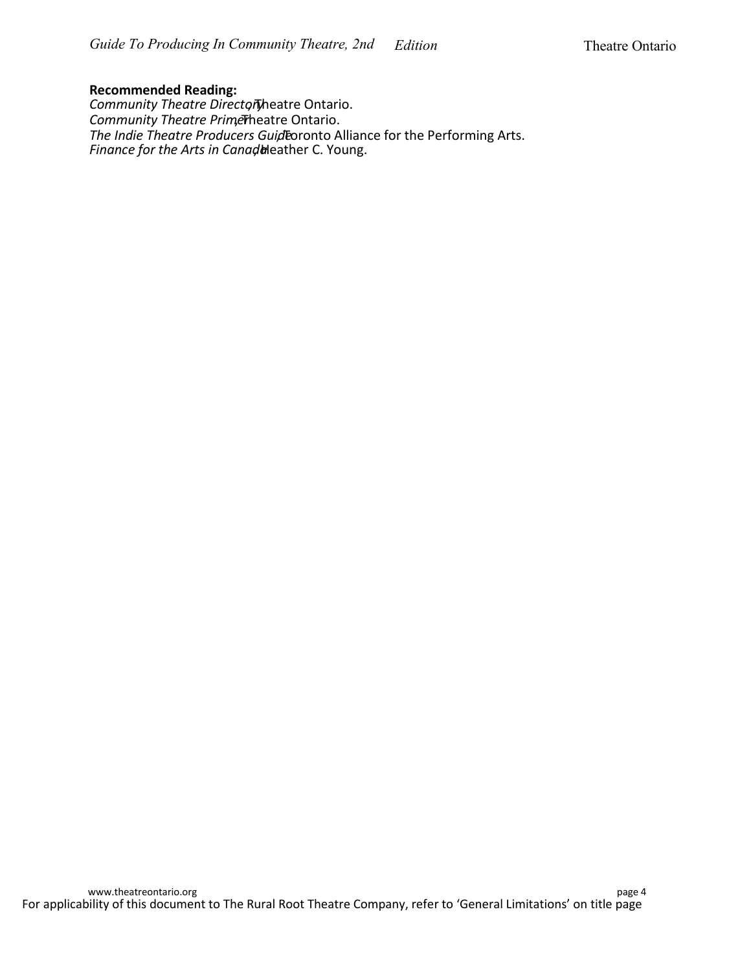#### **Recommended Reading:**

Community Theatre Directoryheatre Ontario. *Community Theatre Primerheatre Ontario. The Indie Theatre Producers Guid* Eoronto Alliance for the Performing Arts. *Finance for the Arts in Canada*leather C. Young.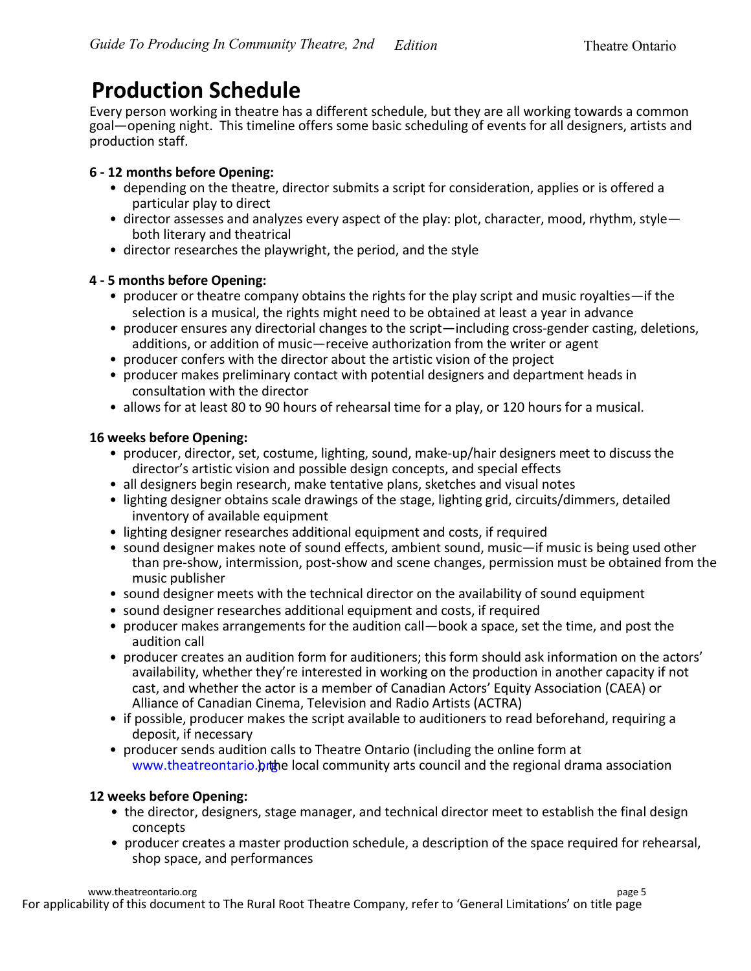### **Production Schedule**

Every person working in theatre has a different schedule, but they are all working towards a common goal—opening night. This timeline offers some basic scheduling of events for all designers, artists and production staff.

#### **6 - 12 months before Opening:**

- depending on the theatre, director submits a script for consideration, applies or is offered a particular play to direct
- director assesses and analyzes every aspect of the play: plot, character, mood, rhythm, style both literary and theatrical
- director researches the playwright, the period, and the style

#### **4 - 5 months before Opening:**

- producer or theatre company obtains the rights for the play script and music royalties—if the selection is a musical, the rights might need to be obtained at least a year in advance
- producer ensures any directorial changes to the script—including cross-gender casting, deletions, additions, or addition of music—receive authorization from the writer or agent
- producer confers with the director about the artistic vision of the project
- producer makes preliminary contact with potential designers and department heads in consultation with the director
- allows for at least 80 to 90 hours of rehearsal time for a play, or 120 hours for a musical.

#### **16 weeks before Opening:**

- producer, director, set, costume, lighting, sound, make-up/hair designers meet to discuss the director's artistic vision and possible design concepts, and special effects
- all designers begin research, make tentative plans, sketches and visual notes
- lighting designer obtains scale drawings of the stage, lighting grid, circuits/dimmers, detailed inventory of available equipment
- lighting designer researches additional equipment and costs, if required
- sound designer makes note of sound effects, ambient sound, music—if music is being used other than pre-show, intermission, post-show and scene changes, permission must be obtained from the music publisher
- sound designer meets with the technical director on the availability of sound equipment
- sound designer researches additional equipment and costs, if required
- producer makes arrangements for the audition call—book a space, set the time, and post the audition call
- producer creates an audition form for auditioners; this form should ask information on the actors' availability, whether they're interested in working on the production in another capacity if not cast, and whether the actor is a member of Canadian Actors' Equity Association (CAEA) or Alliance of Canadian Cinema, Television and Radio Artists (ACTRA)
- if possible, producer makes the script available to auditioners to read beforehand, requiring a deposit, if necessary
- producer sends audition calls to Theatre Ontario (including the online form at www.theatreontario.  $p$  the local community arts council and the regional drama association

#### **12 weeks before Opening:**

- the director, designers, stage manager, and technical director meet to establish the final design concepts
- producer creates a master production schedule, a description of the space required for rehearsal, shop space, and performances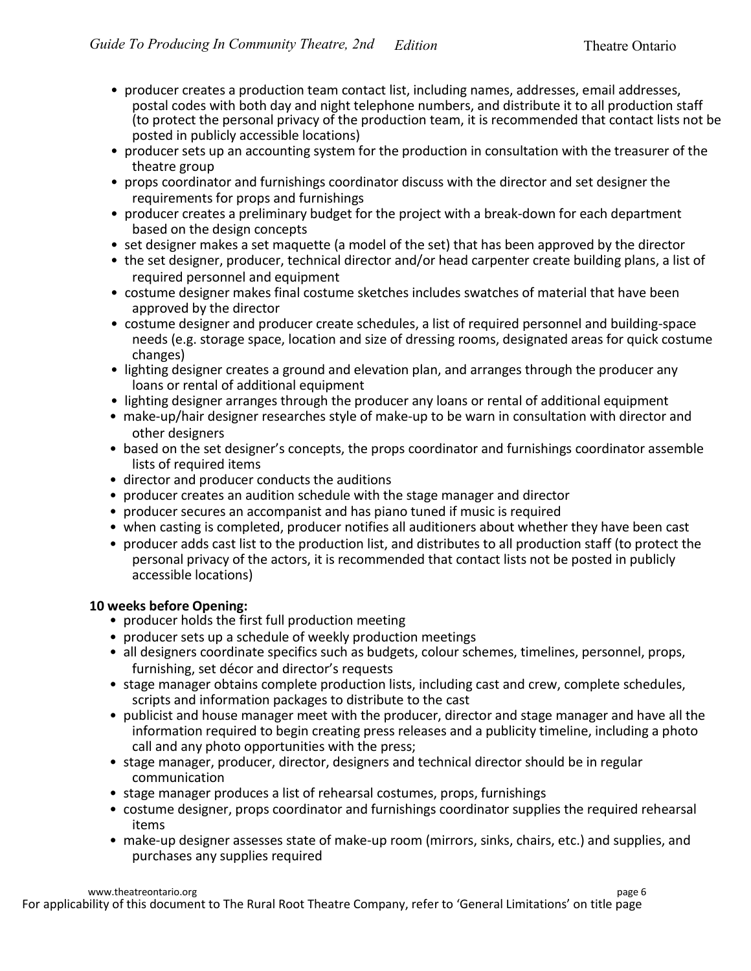- producer creates a production team contact list, including names, addresses, email addresses, postal codes with both day and night telephone numbers, and distribute it to all production staff (to protect the personal privacy of the production team, it is recommended that contact lists not be posted in publicly accessible locations)
- producer sets up an accounting system for the production in consultation with the treasurer of the theatre group
- props coordinator and furnishings coordinator discuss with the director and set designer the requirements for props and furnishings
- producer creates a preliminary budget for the project with a break-down for each department based on the design concepts
- set designer makes a set maquette (a model of the set) that has been approved by the director
- the set designer, producer, technical director and/or head carpenter create building plans, a list of required personnel and equipment
- costume designer makes final costume sketches includes swatches of material that have been approved by the director
- costume designer and producer create schedules, a list of required personnel and building-space needs (e.g. storage space, location and size of dressing rooms, designated areas for quick costume changes)
- lighting designer creates a ground and elevation plan, and arranges through the producer any loans or rental of additional equipment
- lighting designer arranges through the producer any loans or rental of additional equipment
- make-up/hair designer researches style of make-up to be warn in consultation with director and other designers
- based on the set designer's concepts, the props coordinator and furnishings coordinator assemble lists of required items
- director and producer conducts the auditions
- producer creates an audition schedule with the stage manager and director
- producer secures an accompanist and has piano tuned if music is required
- when casting is completed, producer notifies all auditioners about whether they have been cast
- producer adds cast list to the production list, and distributes to all production staff (to protect the personal privacy of the actors, it is recommended that contact lists not be posted in publicly accessible locations)

#### **10 weeks before Opening:**

- producer holds the first full production meeting
- producer sets up a schedule of weekly production meetings
- all designers coordinate specifics such as budgets, colour schemes, timelines, personnel, props, furnishing, set décor and director's requests
- stage manager obtains complete production lists, including cast and crew, complete schedules, scripts and information packages to distribute to the cast
- publicist and house manager meet with the producer, director and stage manager and have all the information required to begin creating press releases and a publicity timeline, including a photo call and any photo opportunities with the press;
- stage manager, producer, director, designers and technical director should be in regular communication
- stage manager produces a list of rehearsal costumes, props, furnishings
- costume designer, props coordinator and furnishings coordinator supplies the required rehearsal items
- make-up designer assesses state of make-up room (mirrors, sinks, chairs, etc.) and supplies, and purchases any supplies required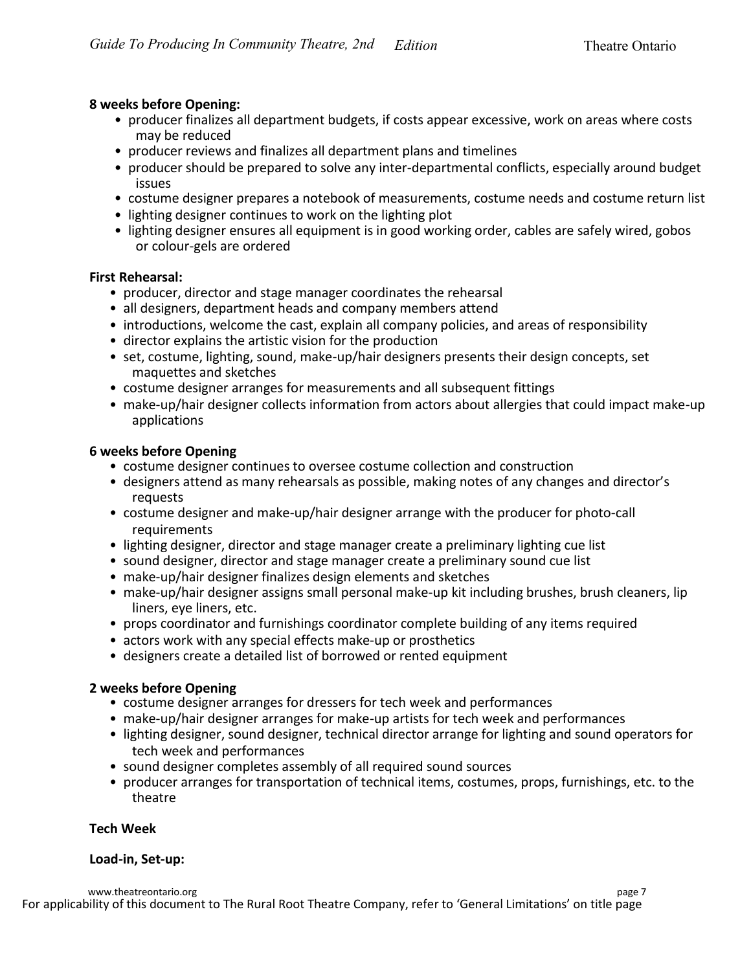#### **8 weeks before Opening:**

- producer finalizes all department budgets, if costs appear excessive, work on areas where costs may be reduced
- producer reviews and finalizes all department plans and timelines
- producer should be prepared to solve any inter-departmental conflicts, especially around budget issues
- costume designer prepares a notebook of measurements, costume needs and costume return list
- lighting designer continues to work on the lighting plot
- lighting designer ensures all equipment is in good working order, cables are safely wired, gobos or colour-gels are ordered

#### **First Rehearsal:**

- producer, director and stage manager coordinates the rehearsal
- all designers, department heads and company members attend
- introductions, welcome the cast, explain all company policies, and areas of responsibility
- director explains the artistic vision for the production
- set, costume, lighting, sound, make-up/hair designers presents their design concepts, set maquettes and sketches
- costume designer arranges for measurements and all subsequent fittings
- make-up/hair designer collects information from actors about allergies that could impact make-up applications

#### **6 weeks before Opening**

- costume designer continues to oversee costume collection and construction
- designers attend as many rehearsals as possible, making notes of any changes and director's requests
- costume designer and make-up/hair designer arrange with the producer for photo-call requirements
- lighting designer, director and stage manager create a preliminary lighting cue list
- sound designer, director and stage manager create a preliminary sound cue list
- make-up/hair designer finalizes design elements and sketches
- make-up/hair designer assigns small personal make-up kit including brushes, brush cleaners, lip liners, eye liners, etc.
- props coordinator and furnishings coordinator complete building of any items required
- actors work with any special effects make-up or prosthetics
- designers create a detailed list of borrowed or rented equipment

#### **2 weeks before Opening**

- costume designer arranges for dressers for tech week and performances
- make-up/hair designer arranges for make-up artists for tech week and performances
- lighting designer, sound designer, technical director arrange for lighting and sound operators for tech week and performances
- sound designer completes assembly of all required sound sources
- producer arranges for transportation of technical items, costumes, props, furnishings, etc. to the theatre

#### **Tech Week**

#### **Load-in, Set-up:**

For applicability of this document to The Rural Root Theatre Company, refer to 'General Limitations' on title page www.theatreontario.org page 7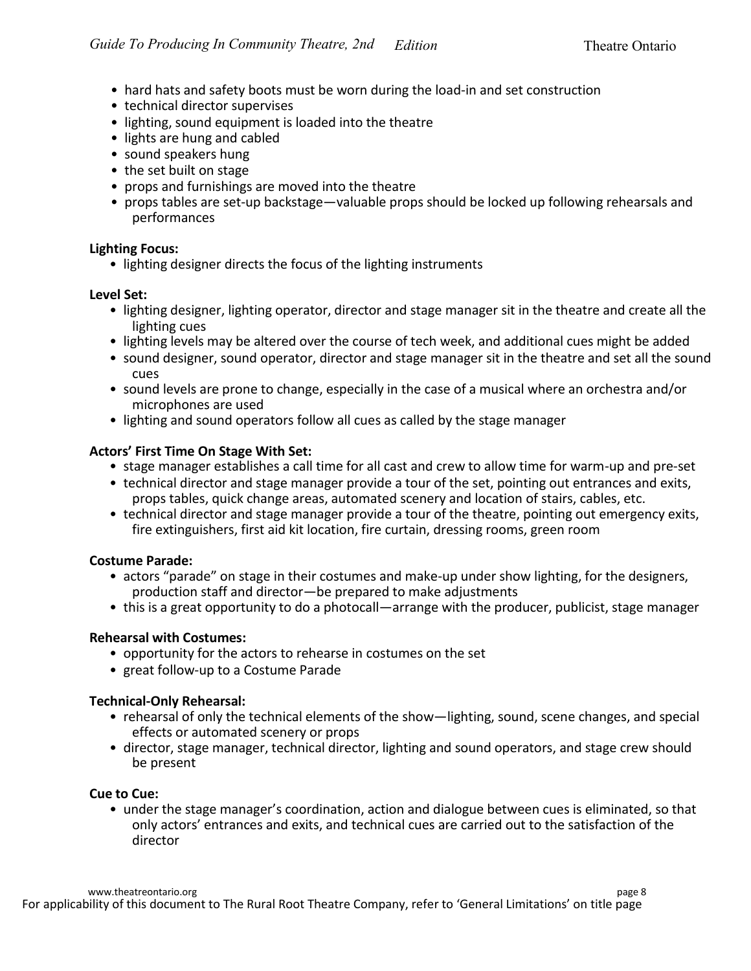- hard hats and safety boots must be worn during the load-in and set construction
- technical director supervises
- lighting, sound equipment is loaded into the theatre
- lights are hung and cabled
- sound speakers hung
- the set built on stage
- props and furnishings are moved into the theatre
- props tables are set-up backstage—valuable props should be locked up following rehearsals and performances

#### **Lighting Focus:**

• lighting designer directs the focus of the lighting instruments

#### **Level Set:**

- lighting designer, lighting operator, director and stage manager sit in the theatre and create all the lighting cues
- lighting levels may be altered over the course of tech week, and additional cues might be added
- sound designer, sound operator, director and stage manager sit in the theatre and set all the sound cues
- sound levels are prone to change, especially in the case of a musical where an orchestra and/or microphones are used
- lighting and sound operators follow all cues as called by the stage manager

#### **Actors' First Time On Stage With Set:**

- stage manager establishes a call time for all cast and crew to allow time for warm-up and pre-set
- technical director and stage manager provide a tour of the set, pointing out entrances and exits, props tables, quick change areas, automated scenery and location of stairs, cables, etc.
- technical director and stage manager provide a tour of the theatre, pointing out emergency exits, fire extinguishers, first aid kit location, fire curtain, dressing rooms, green room

#### **Costume Parade:**

- actors "parade" on stage in their costumes and make-up under show lighting, for the designers, production staff and director—be prepared to make adjustments
- this is a great opportunity to do a photocall—arrange with the producer, publicist, stage manager

#### **Rehearsal with Costumes:**

- opportunity for the actors to rehearse in costumes on the set
- great follow-up to a Costume Parade

#### **Technical-Only Rehearsal:**

- rehearsal of only the technical elements of the show—lighting, sound, scene changes, and special effects or automated scenery or props
- director, stage manager, technical director, lighting and sound operators, and stage crew should be present

#### **Cue to Cue:**

• under the stage manager's coordination, action and dialogue between cues is eliminated, so that only actors' entrances and exits, and technical cues are carried out to the satisfaction of the director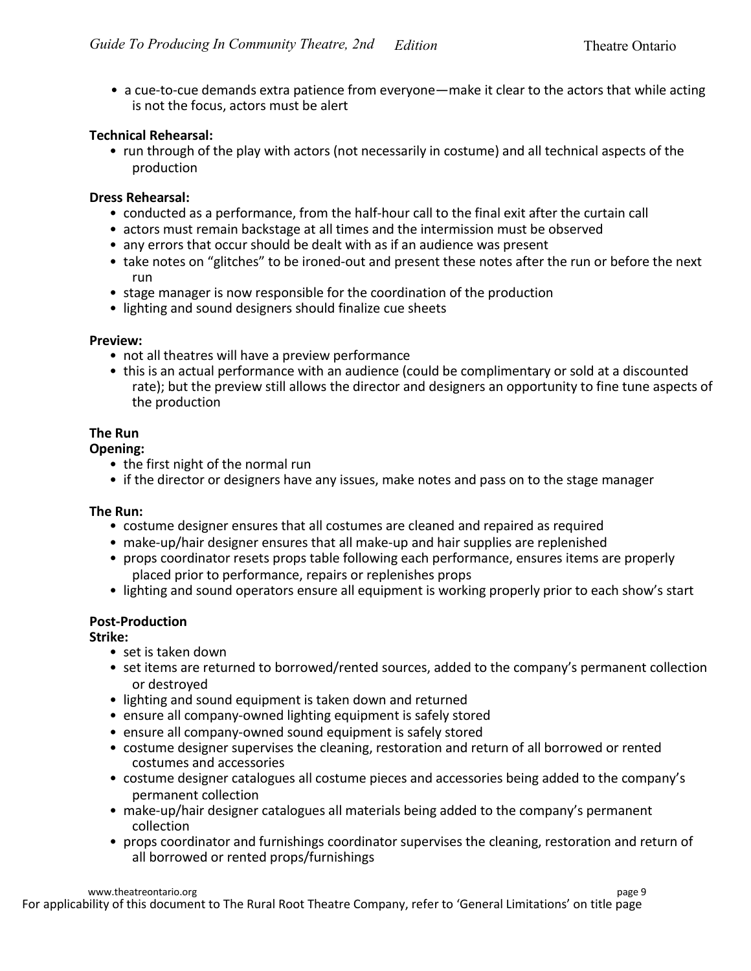• a cue-to-cue demands extra patience from everyone—make it clear to the actors that while acting is not the focus, actors must be alert

#### **Technical Rehearsal:**

• run through of the play with actors (not necessarily in costume) and all technical aspects of the production

#### **Dress Rehearsal:**

- conducted as a performance, from the half-hour call to the final exit after the curtain call
- actors must remain backstage at all times and the intermission must be observed
- any errors that occur should be dealt with as if an audience was present
- take notes on "glitches" to be ironed-out and present these notes after the run or before the next run
- stage manager is now responsible for the coordination of the production
- lighting and sound designers should finalize cue sheets

#### **Preview:**

- not all theatres will have a preview performance
- this is an actual performance with an audience (could be complimentary or sold at a discounted rate); but the preview still allows the director and designers an opportunity to fine tune aspects of the production

#### **The Run**

#### **Opening:**

- the first night of the normal run
- if the director or designers have any issues, make notes and pass on to the stage manager

#### **The Run:**

- costume designer ensures that all costumes are cleaned and repaired as required
- make-up/hair designer ensures that all make-up and hair supplies are replenished
- props coordinator resets props table following each performance, ensures items are properly placed prior to performance, repairs or replenishes props
- lighting and sound operators ensure all equipment is working properly prior to each show's start

#### **Post-Production**

#### **Strike:**

- set is taken down
- set items are returned to borrowed/rented sources, added to the company's permanent collection or destroyed
- lighting and sound equipment is taken down and returned
- ensure all company-owned lighting equipment is safely stored
- ensure all company-owned sound equipment is safely stored
- costume designer supervises the cleaning, restoration and return of all borrowed or rented costumes and accessories
- costume designer catalogues all costume pieces and accessories being added to the company's permanent collection
- make-up/hair designer catalogues all materials being added to the company's permanent collection
- props coordinator and furnishings coordinator supervises the cleaning, restoration and return of all borrowed or rented props/furnishings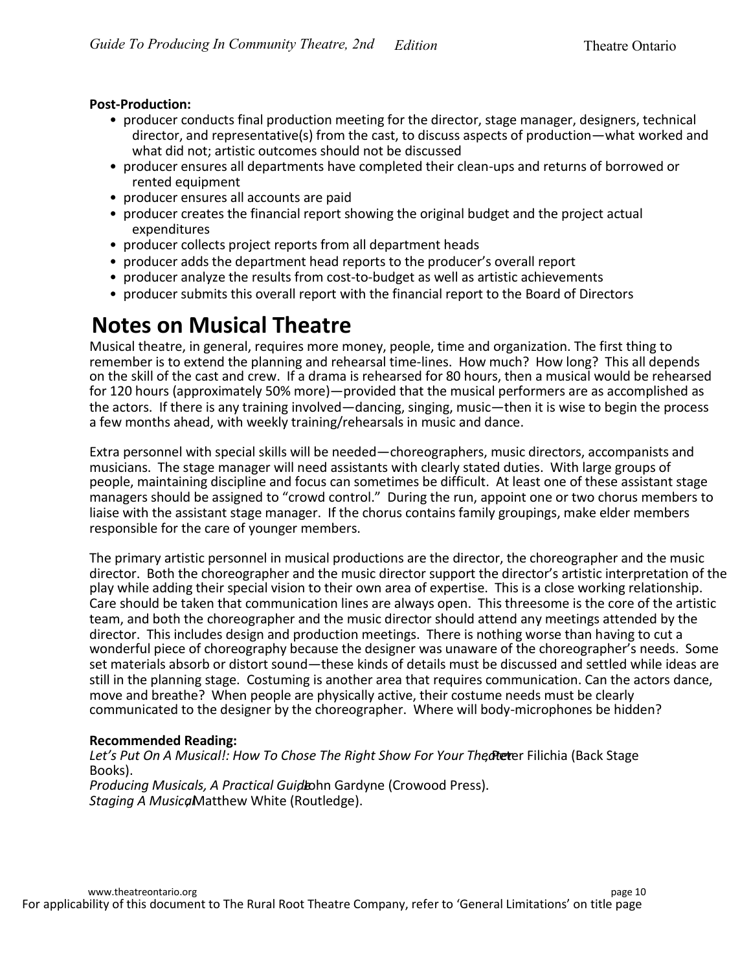#### **Post-Production:**

- producer conducts final production meeting for the director, stage manager, designers, technical director, and representative(s) from the cast, to discuss aspects of production—what worked and what did not; artistic outcomes should not be discussed
- producer ensures all departments have completed their clean-ups and returns of borrowed or rented equipment
- producer ensures all accounts are paid
- producer creates the financial report showing the original budget and the project actual expenditures
- producer collects project reports from all department heads
- producer adds the department head reports to the producer's overall report
- producer analyze the results from cost-to-budget as well as artistic achievements
- producer submits this overall report with the financial report to the Board of Directors

### **Notes on Musical Theatre**

Musical theatre, in general, requires more money, people, time and organization. The first thing to remember is to extend the planning and rehearsal time-lines. How much? How long? This all depends on the skill of the cast and crew. If a drama is rehearsed for 80 hours, then a musical would be rehearsed for 120 hours (approximately 50% more)—provided that the musical performers are as accomplished as the actors. If there is any training involved—dancing, singing, music—then it is wise to begin the process a few months ahead, with weekly training/rehearsals in music and dance.

Extra personnel with special skills will be needed—choreographers, music directors, accompanists and musicians. The stage manager will need assistants with clearly stated duties. With large groups of people, maintaining discipline and focus can sometimes be difficult. At least one of these assistant stage managers should be assigned to "crowd control." During the run, appoint one or two chorus members to liaise with the assistant stage manager. If the chorus contains family groupings, make elder members responsible for the care of younger members.

The primary artistic personnel in musical productions are the director, the choreographer and the music director. Both the choreographer and the music director support the director's artistic interpretation of the play while adding their special vision to their own area of expertise. This is a close working relationship. Care should be taken that communication lines are always open. This threesome is the core of the artistic team, and both the choreographer and the music director should attend any meetings attended by the director. This includes design and production meetings. There is nothing worse than having to cut a wonderful piece of choreography because the designer was unaware of the choreographer's needs. Some set materials absorb or distort sound—these kinds of details must be discussed and settled while ideas are still in the planning stage. Costuming is another area that requires communication. Can the actors dance, move and breathe? When people are physically active, their costume needs must be clearly communicated to the designer by the choreographer. Where will body-microphones be hidden?

#### **Recommended Reading:**

Let's Put On A Musical!: How To Chose The Right Show For Your Thecher Filichia (Back Stage Books). *Producing Musicals, A Practical Guidlabhn Gardyne (Crowood Press). Staging A Musical* Matthew White (Routledge).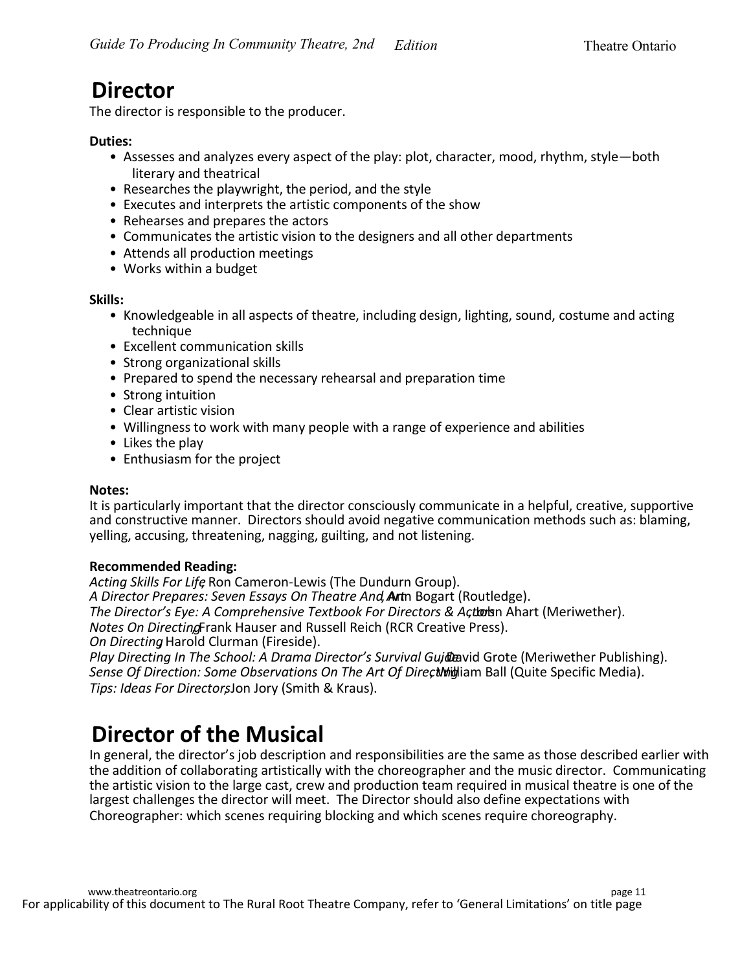### **Director**

The director is responsible to the producer.

#### **Duties:**

- Assesses and analyzes every aspect of the play: plot, character, mood, rhythm, style—both literary and theatrical
- Researches the playwright, the period, and the style
- Executes and interprets the artistic components of the show
- Rehearses and prepares the actors
- Communicates the artistic vision to the designers and all other departments
- Attends all production meetings
- Works within a budget

**Skills:**

- Knowledgeable in all aspects of theatre, including design, lighting, sound, costume and acting technique
- Excellent communication skills
- Strong organizational skills
- Prepared to spend the necessary rehearsal and preparation time
- Strong intuition
- Clear artistic vision
- Willingness to work with many people with a range of experience and abilities
- Likes the play
- Enthusiasm for the project

#### **Notes:**

It is particularly important that the director consciously communicate in a helpful, creative, supportive and constructive manner. Directors should avoid negative communication methods such as: blaming, yelling, accusing, threatening, nagging, guilting, and not listening.

#### **Recommended Reading:**

*Acting Skills For Life*, Ron Cameron-Lewis (The Dundurn Group). A Director Prepares: Seven Essays On Theatre And, **Ant**n Bogart (Routledge). *The Director's Eye: A Comprehensive Textbook For Directors & Actorern Ahart (Meriwether). Notes On Directing* Frank Hauser and Russell Reich (RCR Creative Press). *On Directing*, Harold Clurman (Fireside).

*Play Directing In The School: A Drama Director's Survival Guide* avid Grote (Meriwether Publishing). Sense Of Direction: Some Observations On The Art Of Direct *Mitherian Ball (Quite Specific Media)*. *Tips: Ideas For Directors*, Jon Jory (Smith & Kraus).

### **Director of the Musical**

In general, the director's job description and responsibilities are the same as those described earlier with the addition of collaborating artistically with the choreographer and the music director. Communicating the artistic vision to the large cast, crew and production team required in musical theatre is one of the largest challenges the director will meet. The Director should also define expectations with Choreographer: which scenes requiring blocking and which scenes require choreography.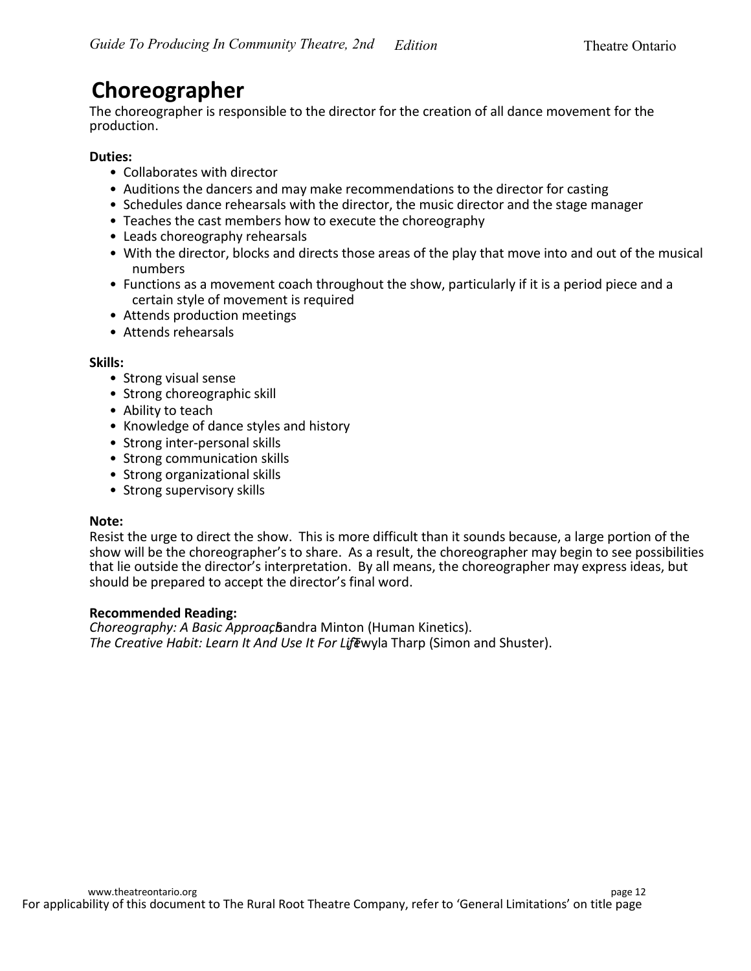### **Choreographer**

The choreographer is responsible to the director for the creation of all dance movement for the production.

#### **Duties:**

- Collaborates with director
- Auditions the dancers and may make recommendations to the director for casting
- Schedules dance rehearsals with the director, the music director and the stage manager
- Teaches the cast members how to execute the choreography
- Leads choreography rehearsals
- With the director, blocks and directs those areas of the play that move into and out of the musical numbers
- Functions as a movement coach throughout the show, particularly if it is a period piece and a certain style of movement is required
- Attends production meetings
- Attends rehearsals

#### **Skills:**

- Strong visual sense
- Strong choreographic skill
- Ability to teach
- Knowledge of dance styles and history
- Strong inter-personal skills
- Strong communication skills
- Strong organizational skills
- Strong supervisory skills

#### **Note:**

Resist the urge to direct the show. This is more difficult than it sounds because, a large portion of the show will be the choreographer's to share. As a result, the choreographer may begin to see possibilities that lie outside the director's interpretation. By all means, the choreographer may express ideas, but should be prepared to accept the director's final word.

#### **Recommended Reading:**

*Choreography: A Basic Approac* Bandra Minton (Human Kinetics). The Creative Habit: Learn It And Use It For Lifewyla Tharp (Simon and Shuster).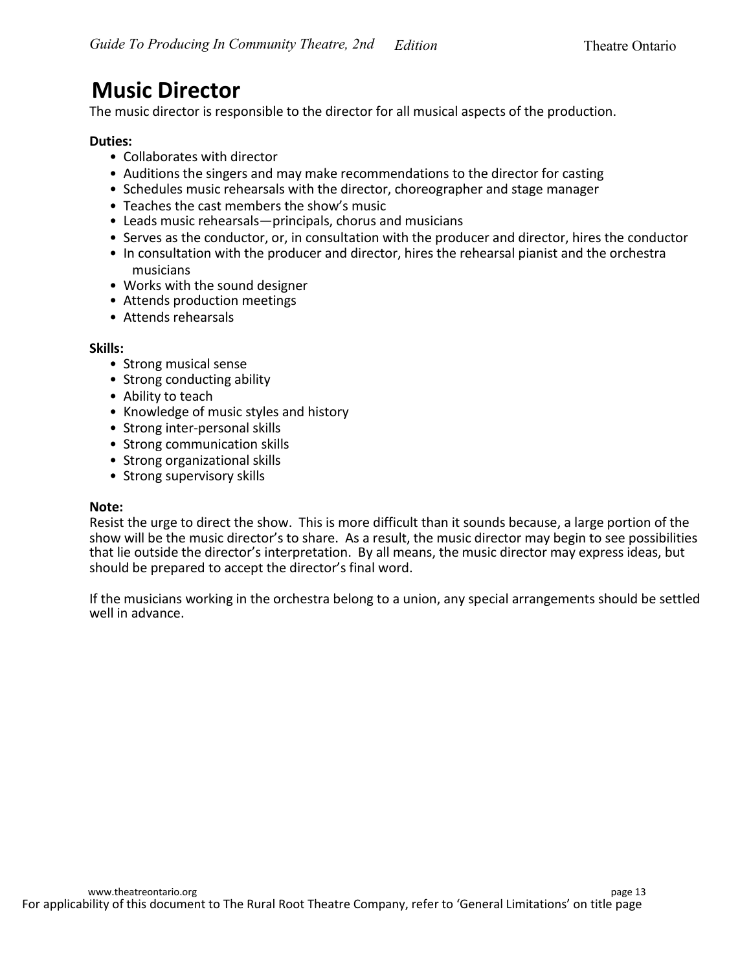### **Music Director**

The music director is responsible to the director for all musical aspects of the production.

#### **Duties:**

- Collaborates with director
- Auditions the singers and may make recommendations to the director for casting
- Schedules music rehearsals with the director, choreographer and stage manager
- Teaches the cast members the show's music
- Leads music rehearsals—principals, chorus and musicians
- Serves as the conductor, or, in consultation with the producer and director, hires the conductor
- In consultation with the producer and director, hires the rehearsal pianist and the orchestra musicians
- Works with the sound designer
- Attends production meetings
- Attends rehearsals

#### **Skills:**

- Strong musical sense
- Strong conducting ability
- Ability to teach
- Knowledge of music styles and history
- Strong inter-personal skills
- Strong communication skills
- Strong organizational skills
- Strong supervisory skills

#### **Note:**

Resist the urge to direct the show. This is more difficult than it sounds because, a large portion of the show will be the music director's to share. As a result, the music director may begin to see possibilities that lie outside the director's interpretation. By all means, the music director may express ideas, but should be prepared to accept the director's final word.

If the musicians working in the orchestra belong to a union, any special arrangements should be settled well in advance.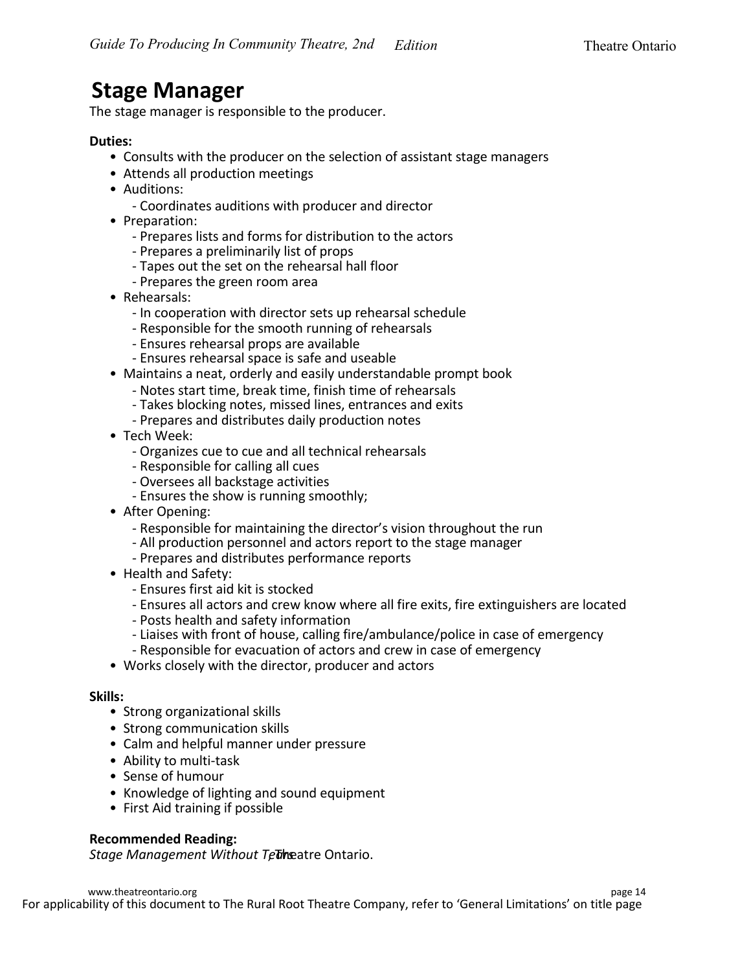### **Stage Manager**

The stage manager is responsible to the producer.

#### **Duties:**

- Consults with the producer on the selection of assistant stage managers
- Attends all production meetings
- Auditions:
	- Coordinates auditions with producer and director
- Preparation:
	- Prepares lists and forms for distribution to the actors
	- Prepares a preliminarily list of props
	- Tapes out the set on the rehearsal hall floor
	- Prepares the green room area
- Rehearsals:
	- In cooperation with director sets up rehearsal schedule
	- Responsible for the smooth running of rehearsals
	- Ensures rehearsal props are available
	- Ensures rehearsal space is safe and useable
- Maintains a neat, orderly and easily understandable prompt book
	- Notes start time, break time, finish time of rehearsals
	- Takes blocking notes, missed lines, entrances and exits
	- Prepares and distributes daily production notes
- Tech Week:
	- Organizes cue to cue and all technical rehearsals
	- Responsible for calling all cues
	- Oversees all backstage activities
	- Ensures the show is running smoothly;
- After Opening:
	- Responsible for maintaining the director's vision throughout the run
	- All production personnel and actors report to the stage manager
	- Prepares and distributes performance reports
- Health and Safety:
	- Ensures first aid kit is stocked
	- Ensures all actors and crew know where all fire exits, fire extinguishers are located
	- Posts health and safety information
	- Liaises with front of house, calling fire/ambulance/police in case of emergency
	- Responsible for evacuation of actors and crew in case of emergency
- Works closely with the director, producer and actors

#### **Skills:**

- Strong organizational skills
- Strong communication skills
- Calm and helpful manner under pressure
- Ability to multi-task
- Sense of humour
- Knowledge of lighting and sound equipment
- First Aid training if possible

#### **Recommended Reading:**

Stage Management Without Tetheatre Ontario.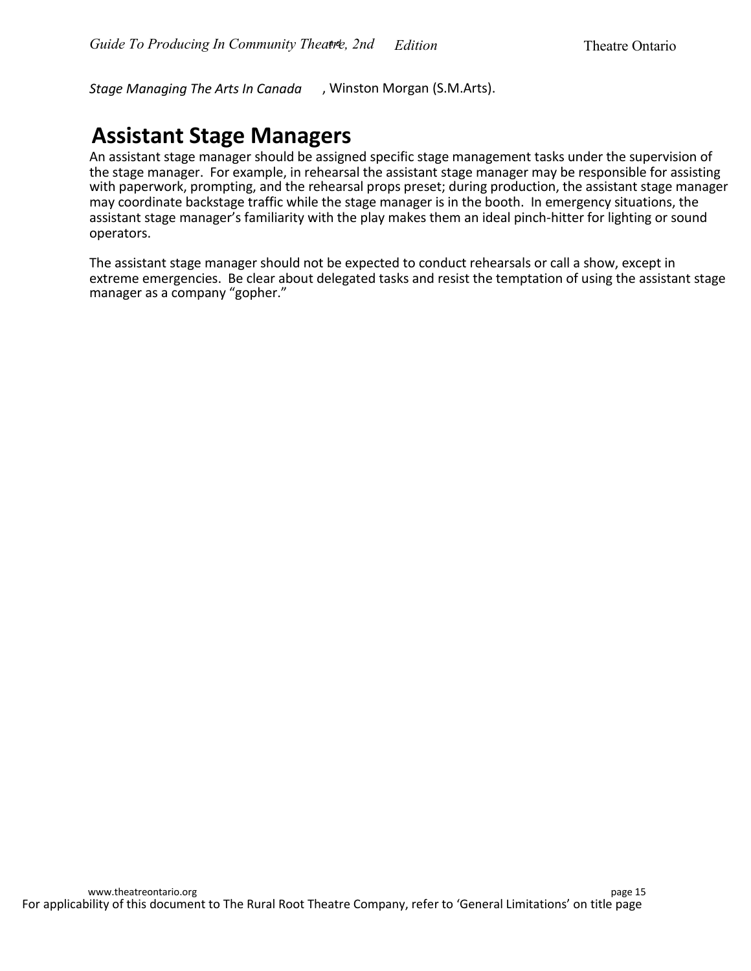*Stage Managing The Arts In Canada* , Winston Morgan (S.M.Arts).

### **Assistant Stage Managers**

An assistant stage manager should be assigned specific stage management tasks under the supervision of the stage manager. For example, in rehearsal the assistant stage manager may be responsible for assisting with paperwork, prompting, and the rehearsal props preset; during production, the assistant stage manager may coordinate backstage traffic while the stage manager is in the booth. In emergency situations, the assistant stage manager's familiarity with the play makes them an ideal pinch-hitter for lighting or sound operators.

The assistant stage manager should not be expected to conduct rehearsals or call a show, except in extreme emergencies. Be clear about delegated tasks and resist the temptation of using the assistant stage manager as a company "gopher."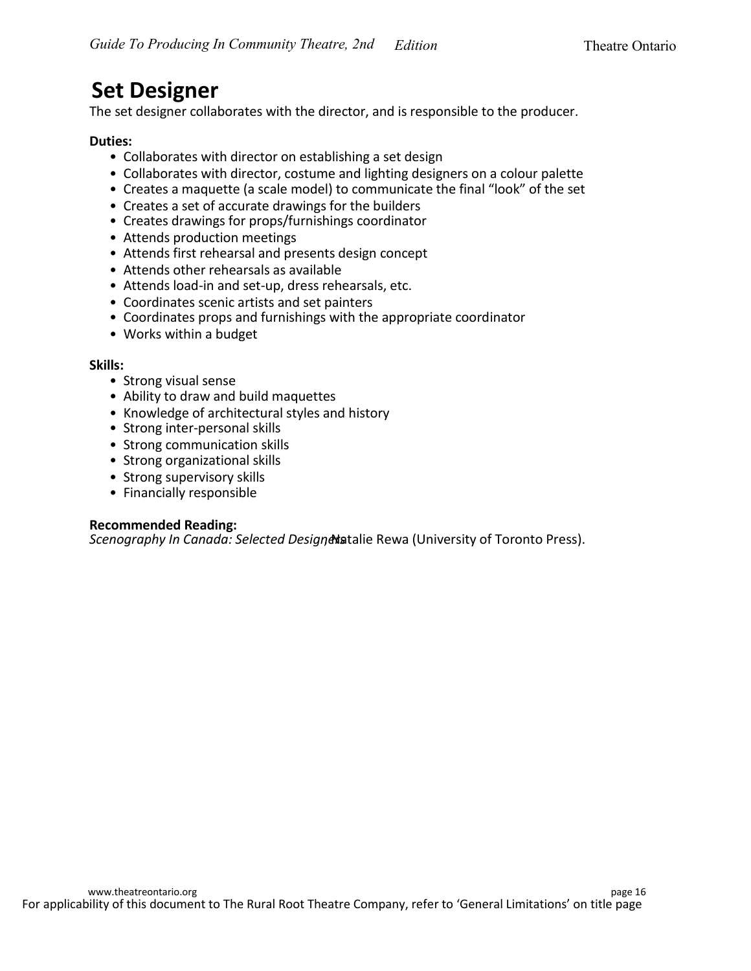### **Set Designer**

The set designer collaborates with the director, and is responsible to the producer.

#### **Duties:**

- Collaborates with director on establishing a set design
- Collaborates with director, costume and lighting designers on a colour palette
- Creates a maquette (a scale model) to communicate the final "look" of the set
- Creates a set of accurate drawings for the builders
- Creates drawings for props/furnishings coordinator
- Attends production meetings
- Attends first rehearsal and presents design concept
- Attends other rehearsals as available
- Attends load-in and set-up, dress rehearsals, etc.
- Coordinates scenic artists and set painters
- Coordinates props and furnishings with the appropriate coordinator
- Works within a budget

#### **Skills:**

- Strong visual sense
- Ability to draw and build maquettes
- Knowledge of architectural styles and history
- Strong inter-personal skills
- Strong communication skills
- Strong organizational skills
- Strong supervisory skills
- Financially responsible

#### **Recommended Reading:**

*Scenography In Canada: Selected Designe hatalie Rewa (University of Toronto Press).*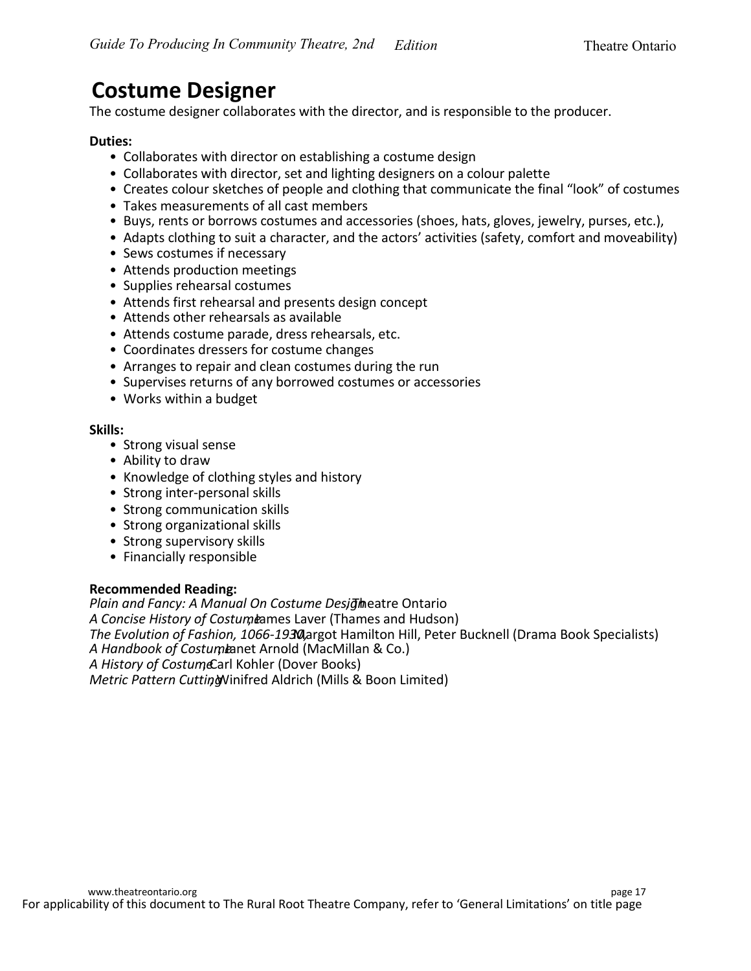### **Costume Designer**

The costume designer collaborates with the director, and is responsible to the producer.

#### **Duties:**

- Collaborates with director on establishing a costume design
- Collaborates with director, set and lighting designers on a colour palette
- Creates colour sketches of people and clothing that communicate the final "look" of costumes
- Takes measurements of all cast members
- Buys, rents or borrows costumes and accessories (shoes, hats, gloves, jewelry, purses, etc.),
- Adapts clothing to suit a character, and the actors' activities (safety, comfort and moveability)
- Sews costumes if necessary
- Attends production meetings
- Supplies rehearsal costumes
- Attends first rehearsal and presents design concept
- Attends other rehearsals as available
- Attends costume parade, dress rehearsals, etc.
- Coordinates dressers for costume changes
- Arranges to repair and clean costumes during the run
- Supervises returns of any borrowed costumes or accessories
- Works within a budget

#### **Skills:**

- Strong visual sense
- Ability to draw
- Knowledge of clothing styles and history
- Strong inter-personal skills
- Strong communication skills
- Strong organizational skills
- Strong supervisory skills
- Financially responsible

#### **Recommended Reading:**

*Plain and Fancy: A Manual On Costume Desidence Ontario* A Concise History of Costum bames Laver (Thames and Hudson) **The Evolution of Fashion, 1066-1930, Argot Hamilton Hill, Peter Bucknell (Drama Book Specialists)** A Handbook of Costumianet Arnold (MacMillan & Co.) A History of CostumeCarl Kohler (Dover Books) *Metric Pattern Cutting* Vinifred Aldrich (Mills & Boon Limited)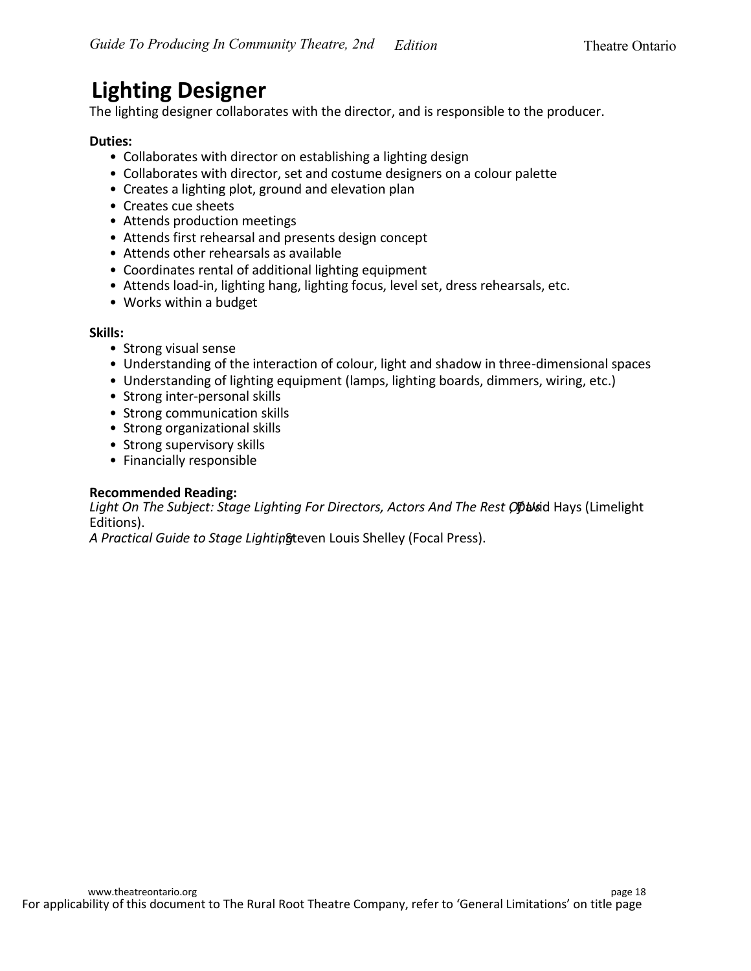### **Lighting Designer**

The lighting designer collaborates with the director, and is responsible to the producer.

#### **Duties:**

- Collaborates with director on establishing a lighting design
- Collaborates with director, set and costume designers on a colour palette
- Creates a lighting plot, ground and elevation plan
- Creates cue sheets
- Attends production meetings
- Attends first rehearsal and presents design concept
- Attends other rehearsals as available
- Coordinates rental of additional lighting equipment
- Attends load-in, lighting hang, lighting focus, level set, dress rehearsals, etc.
- Works within a budget

#### **Skills:**

- Strong visual sense
- Understanding of the interaction of colour, light and shadow in three-dimensional spaces
- Understanding of lighting equipment (lamps, lighting boards, dimmers, wiring, etc.)
- Strong inter-personal skills
- Strong communication skills
- Strong organizational skills
- Strong supervisory skills
- Financially responsible

#### **Recommended Reading:**

Light On The Subject: Stage Lighting For Directors, Actors And The Rest Or basid Hays (Limelight Editions).

A Practical Guide to Stage Lightingteven Louis Shelley (Focal Press).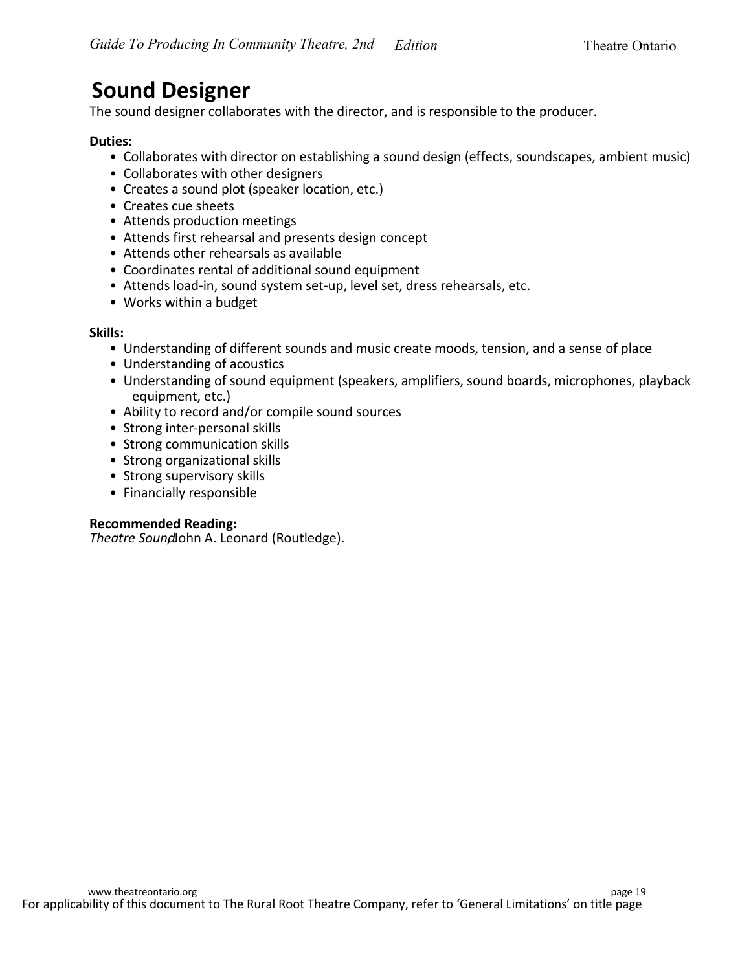### **Sound Designer**

The sound designer collaborates with the director, and is responsible to the producer.

#### **Duties:**

- Collaborates with director on establishing a sound design (effects, soundscapes, ambient music)
- Collaborates with other designers
- Creates a sound plot (speaker location, etc.)
- Creates cue sheets
- Attends production meetings
- Attends first rehearsal and presents design concept
- Attends other rehearsals as available
- Coordinates rental of additional sound equipment
- Attends load-in, sound system set-up, level set, dress rehearsals, etc.
- Works within a budget

#### **Skills:**

- Understanding of different sounds and music create moods, tension, and a sense of place
- Understanding of acoustics
- Understanding of sound equipment (speakers, amplifiers, sound boards, microphones, playback equipment, etc.)
- Ability to record and/or compile sound sources
- Strong inter-personal skills
- Strong communication skills
- Strong organizational skills
- Strong supervisory skills
- Financially responsible

#### **Recommended Reading:**

**Theatre Soundohn A. Leonard (Routledge).**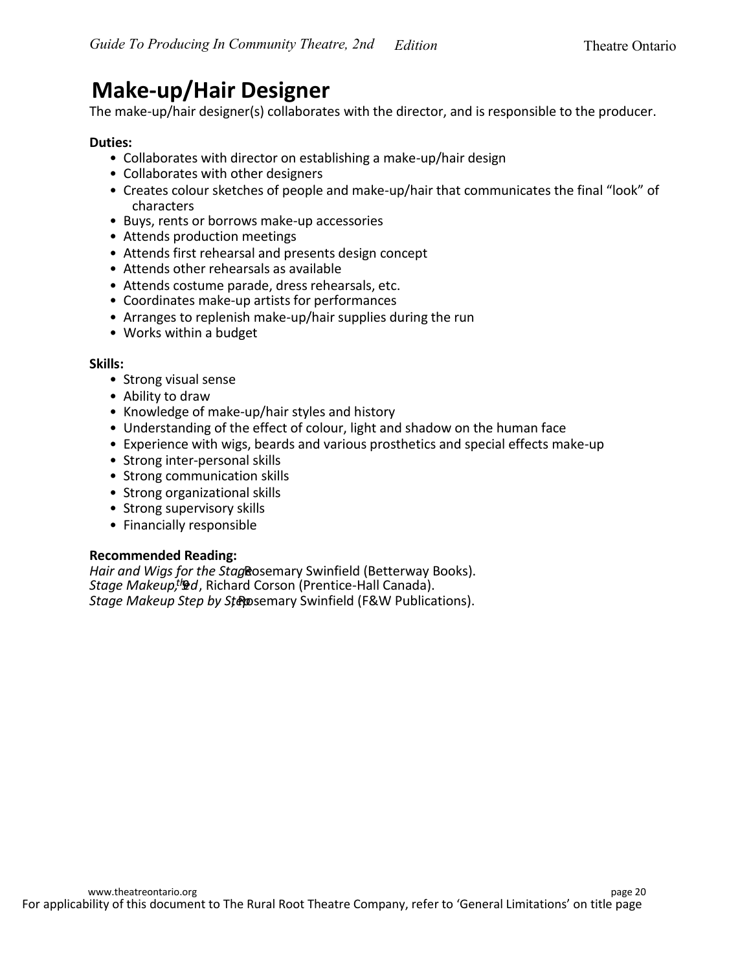### **Make-up/Hair Designer**

The make-up/hair designer(s) collaborates with the director, and is responsible to the producer.

#### **Duties:**

- Collaborates with director on establishing a make-up/hair design
- Collaborates with other designers
- Creates colour sketches of people and make-up/hair that communicates the final "look" of characters
- Buys, rents or borrows make-up accessories
- Attends production meetings
- Attends first rehearsal and presents design concept
- Attends other rehearsals as available
- Attends costume parade, dress rehearsals, etc.
- Coordinates make-up artists for performances
- Arranges to replenish make-up/hair supplies during the run
- Works within a budget

#### **Skills:**

- Strong visual sense
- Ability to draw
- Knowledge of make-up/hair styles and history
- Understanding of the effect of colour, light and shadow on the human face
- Experience with wigs, beards and various prosthetics and special effects make-up
- Strong inter-personal skills
- Strong communication skills
- Strong organizational skills
- Strong supervisory skills
- Financially responsible

#### **Recommended Reading:**

Hair and Wigs for the Stag Rosemary Swinfield (Betterway Books). *Stage Makeup,<sup>th</sup>ad*, Richard Corson (Prentice-Hall Canada). *Stage Makeup Step by Stepp* **semary Swinfield (F&W Publications).**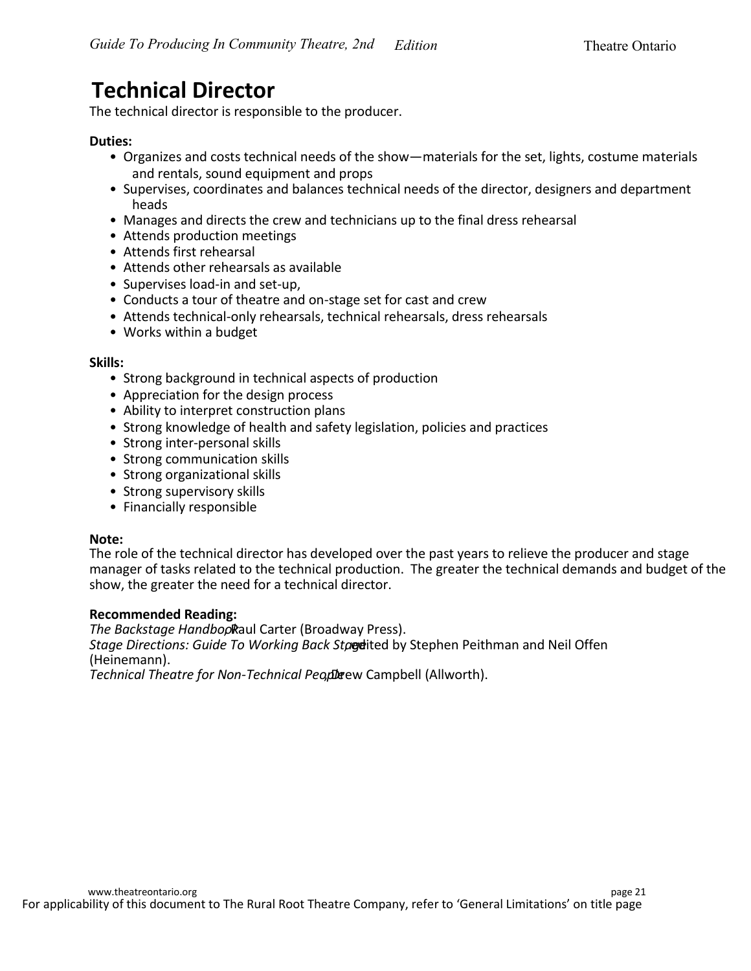### **Technical Director**

The technical director is responsible to the producer.

#### **Duties:**

- Organizes and costs technical needs of the show—materials for the set, lights, costume materials and rentals, sound equipment and props
- Supervises, coordinates and balances technical needs of the director, designers and department heads
- Manages and directs the crew and technicians up to the final dress rehearsal
- Attends production meetings
- Attends first rehearsal
- Attends other rehearsals as available
- Supervises load-in and set-up,
- Conducts a tour of theatre and on-stage set for cast and crew
- Attends technical-only rehearsals, technical rehearsals, dress rehearsals
- Works within a budget

#### **Skills:**

- Strong background in technical aspects of production
- Appreciation for the design process
- Ability to interpret construction plans
- Strong knowledge of health and safety legislation, policies and practices
- Strong inter-personal skills
- Strong communication skills
- Strong organizational skills
- Strong supervisory skills
- Financially responsible

#### **Note:**

The role of the technical director has developed over the past years to relieve the producer and stage manager of tasks related to the technical production. The greater the technical demands and budget of the show, the greater the need for a technical director.

#### **Recommended Reading:**

*The Backstage Handbopkaul Carter (Broadway Press). Stage Directions: Guide To Working Back Stageited by Stephen Peithman and Neil Offen* (Heinemann).

**Technical Theatre for Non-Technical Peoplerew Campbell (Allworth).**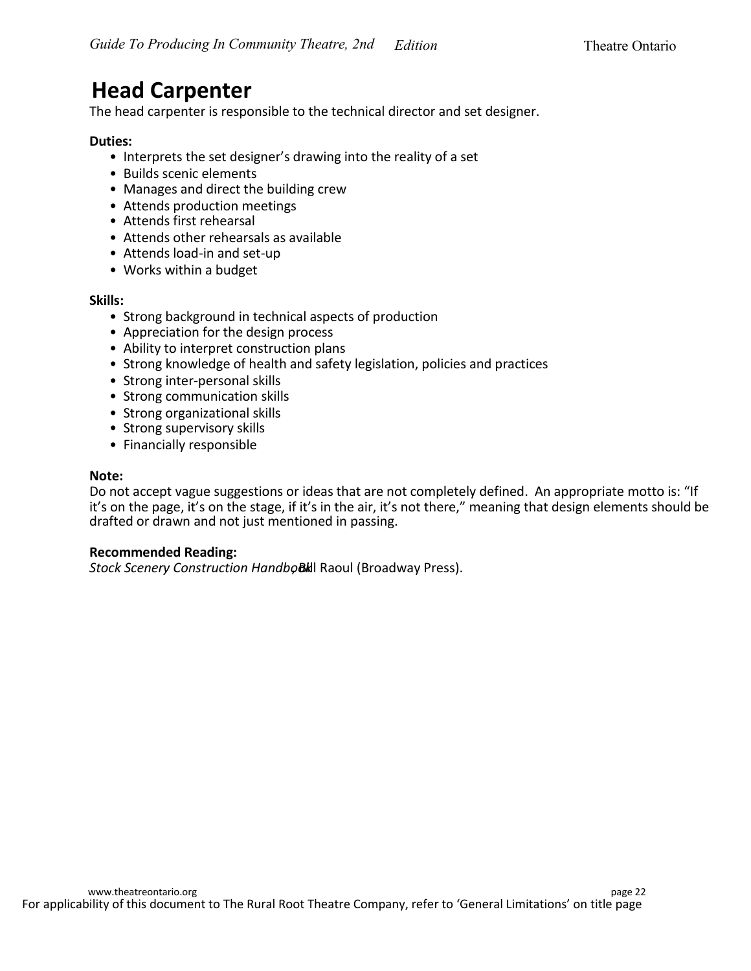### **Head Carpenter**

The head carpenter is responsible to the technical director and set designer.

#### **Duties:**

- Interprets the set designer's drawing into the reality of a set
- Builds scenic elements
- Manages and direct the building crew
- Attends production meetings
- Attends first rehearsal
- Attends other rehearsals as available
- Attends load-in and set-up
- Works within a budget

#### **Skills:**

- Strong background in technical aspects of production
- Appreciation for the design process
- Ability to interpret construction plans
- Strong knowledge of health and safety legislation, policies and practices
- Strong inter-personal skills
- Strong communication skills
- Strong organizational skills
- Strong supervisory skills
- Financially responsible

#### **Note:**

Do not accept vague suggestions or ideas that are not completely defined. An appropriate motto is: "If it's on the page, it's on the stage, if it's in the air, it's not there," meaning that design elements should be drafted or drawn and not just mentioned in passing.

#### **Recommended Reading:**

**Stock Scenery Construction HandboBkIl Raoul (Broadway Press).**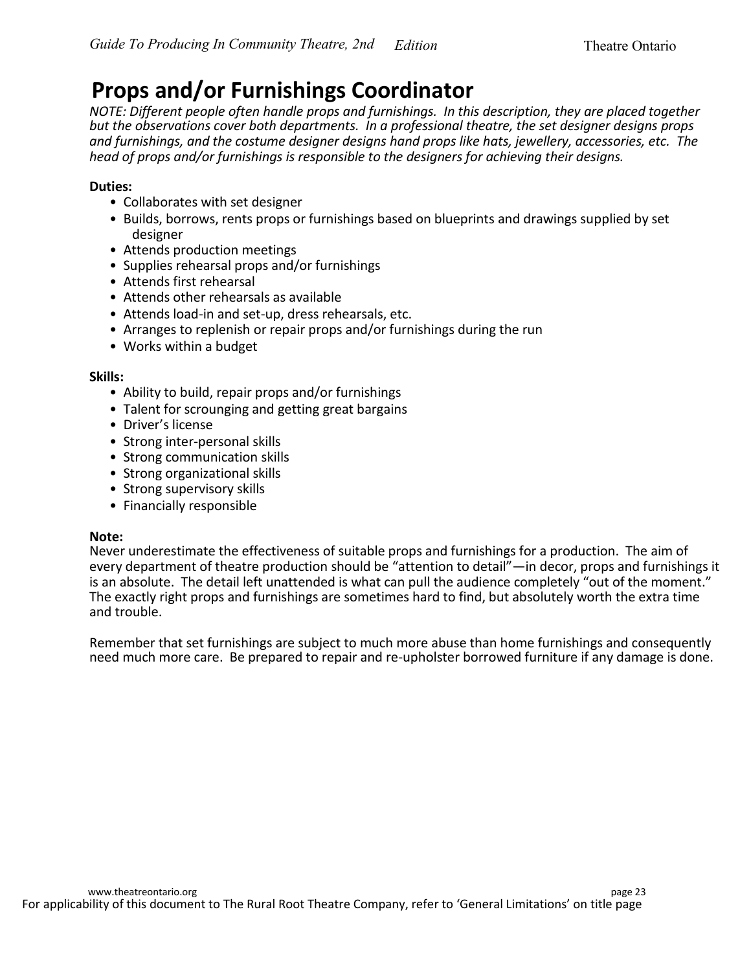### **Props and/or Furnishings Coordinator**

*NOTE: Different people often handle props and furnishings. In this description, they are placed together but the observations cover both departments. In a professional theatre, the set designer designs props and furnishings, and the costume designer designs hand props like hats, jewellery, accessories, etc. The head of props and/or furnishings is responsible to the designers for achieving their designs.*

#### **Duties:**

- Collaborates with set designer
- Builds, borrows, rents props or furnishings based on blueprints and drawings supplied by set designer
- Attends production meetings
- Supplies rehearsal props and/or furnishings
- Attends first rehearsal
- Attends other rehearsals as available
- Attends load-in and set-up, dress rehearsals, etc.
- Arranges to replenish or repair props and/or furnishings during the run
- Works within a budget

#### **Skills:**

- Ability to build, repair props and/or furnishings
- Talent for scrounging and getting great bargains
- Driver's license
- Strong inter-personal skills
- Strong communication skills
- Strong organizational skills
- Strong supervisory skills
- Financially responsible

#### **Note:**

Never underestimate the effectiveness of suitable props and furnishings for a production. The aim of every department of theatre production should be "attention to detail"—in decor, props and furnishings it is an absolute. The detail left unattended is what can pull the audience completely "out of the moment." The exactly right props and furnishings are sometimes hard to find, but absolutely worth the extra time and trouble.

Remember that set furnishings are subject to much more abuse than home furnishings and consequently need much more care. Be prepared to repair and re-upholster borrowed furniture if any damage is done.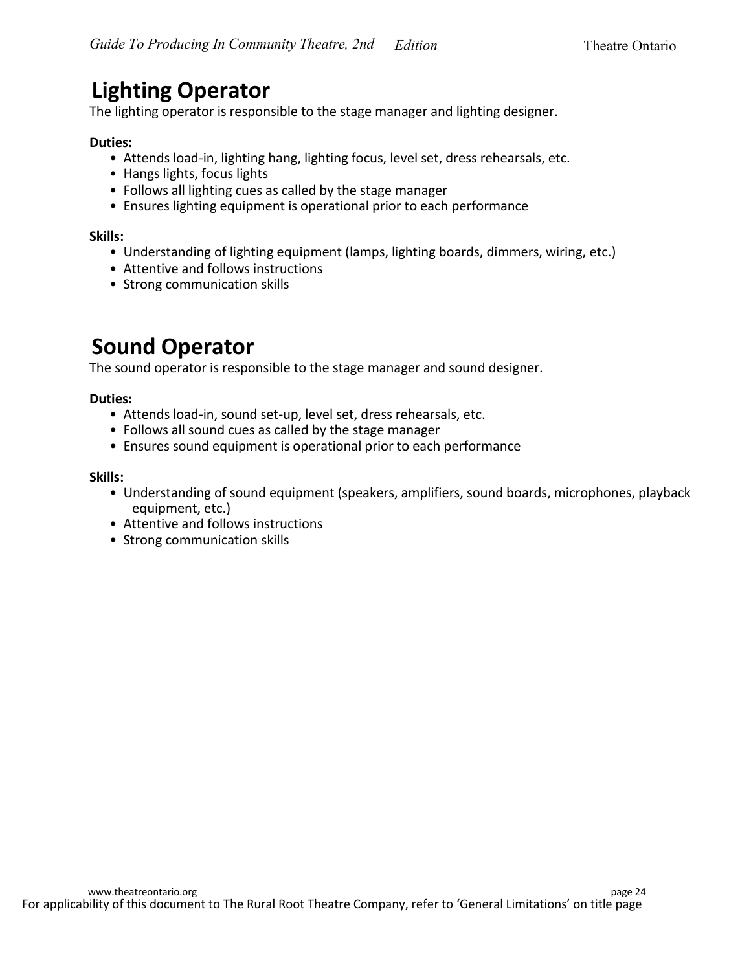### **Lighting Operator**

The lighting operator is responsible to the stage manager and lighting designer.

#### **Duties:**

- Attends load-in, lighting hang, lighting focus, level set, dress rehearsals, etc.
- Hangs lights, focus lights
- Follows all lighting cues as called by the stage manager
- Ensures lighting equipment is operational prior to each performance

#### **Skills:**

- Understanding of lighting equipment (lamps, lighting boards, dimmers, wiring, etc.)
- Attentive and follows instructions
- Strong communication skills

### **Sound Operator**

The sound operator is responsible to the stage manager and sound designer.

#### **Duties:**

- Attends load-in, sound set-up, level set, dress rehearsals, etc.
- Follows all sound cues as called by the stage manager
- Ensures sound equipment is operational prior to each performance

#### **Skills:**

- Understanding of sound equipment (speakers, amplifiers, sound boards, microphones, playback equipment, etc.)
- Attentive and follows instructions
- Strong communication skills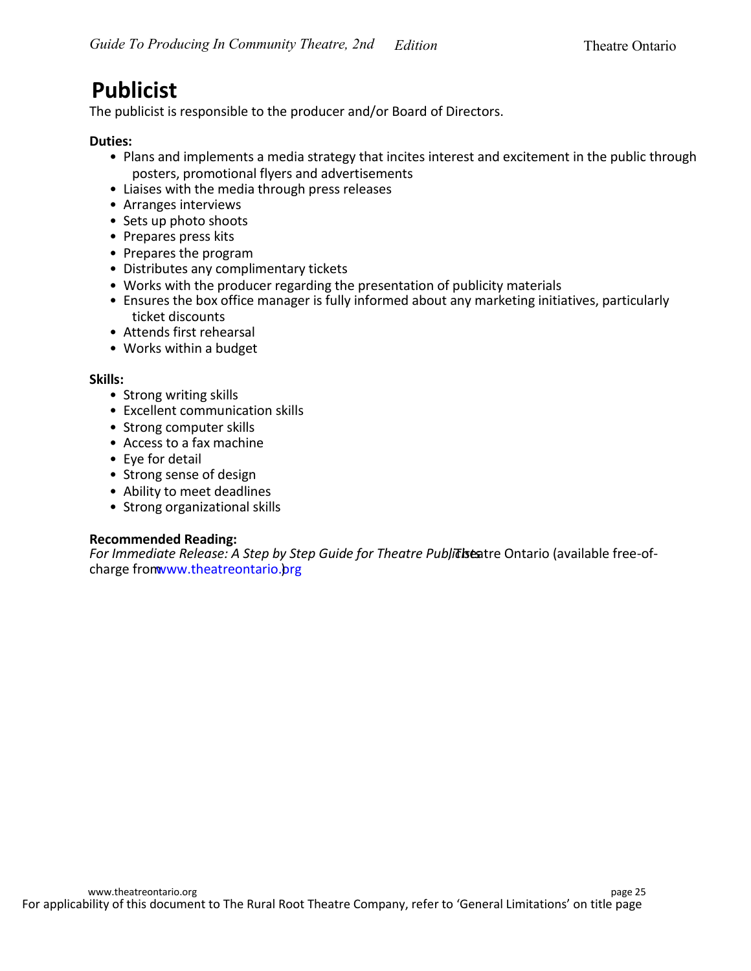### **Publicist**

The publicist is responsible to the producer and/or Board of Directors.

#### **Duties:**

- Plans and implements a media strategy that incites interest and excitement in the public through posters, promotional flyers and advertisements
- Liaises with the media through press releases
- Arranges interviews
- Sets up photo shoots
- Prepares press kits
- Prepares the program
- Distributes any complimentary tickets
- Works with the producer regarding the presentation of publicity materials
- Ensures the box office manager is fully informed about any marketing initiatives, particularly ticket discounts
- Attends first rehearsal
- Works within a budget

#### **Skills:**

- Strong writing skills
- Excellent communication skills
- Strong computer skills
- Access to a fax machine
- Eye for detail
- Strong sense of design
- Ability to meet deadlines
- Strong organizational skills

#### **Recommended Reading:**

For Immediate Release: A Step by Step Guide for Theatre Publicistatre Ontario (available free-ofcharge from www.theatreontario.org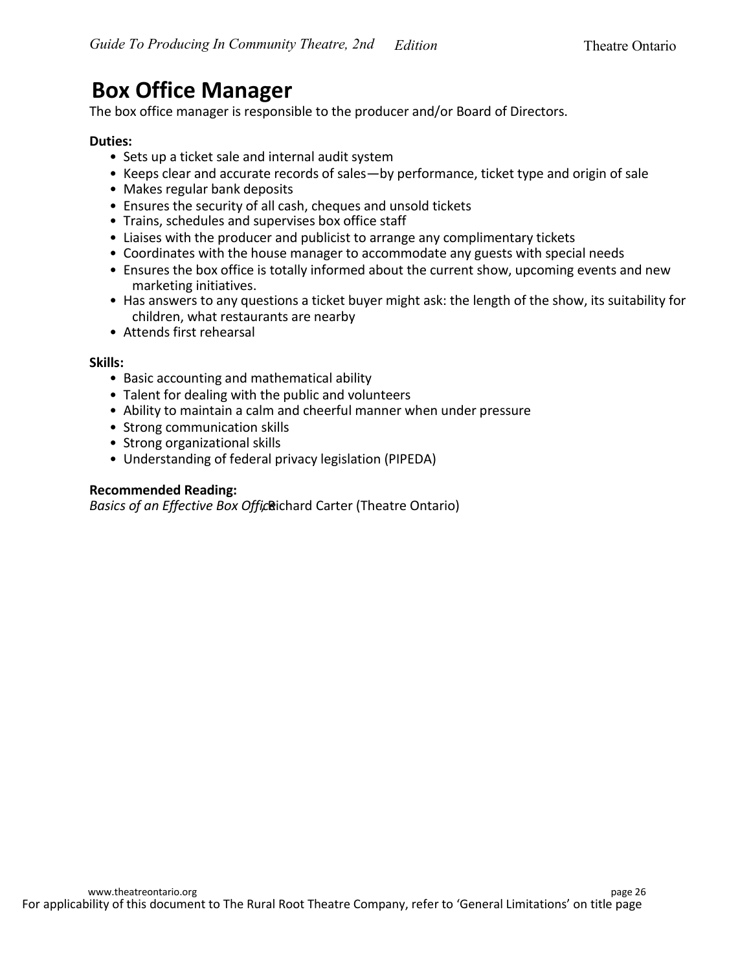### **Box Office Manager**

The box office manager is responsible to the producer and/or Board of Directors.

#### **Duties:**

- Sets up a ticket sale and internal audit system
- Keeps clear and accurate records of sales—by performance, ticket type and origin of sale
- Makes regular bank deposits
- Ensures the security of all cash, cheques and unsold tickets
- Trains, schedules and supervises box office staff
- Liaises with the producer and publicist to arrange any complimentary tickets
- Coordinates with the house manager to accommodate any guests with special needs
- Ensures the box office is totally informed about the current show, upcoming events and new marketing initiatives.
- Has answers to any questions a ticket buyer might ask: the length of the show, its suitability for children, what restaurants are nearby
- Attends first rehearsal

#### **Skills:**

- Basic accounting and mathematical ability
- Talent for dealing with the public and volunteers
- Ability to maintain a calm and cheerful manner when under pressure
- Strong communication skills
- Strong organizational skills
- Understanding of federal privacy legislation (PIPEDA)

#### **Recommended Reading:**

*Basics of an Effective Box Officerichard Carter (Theatre Ontario)*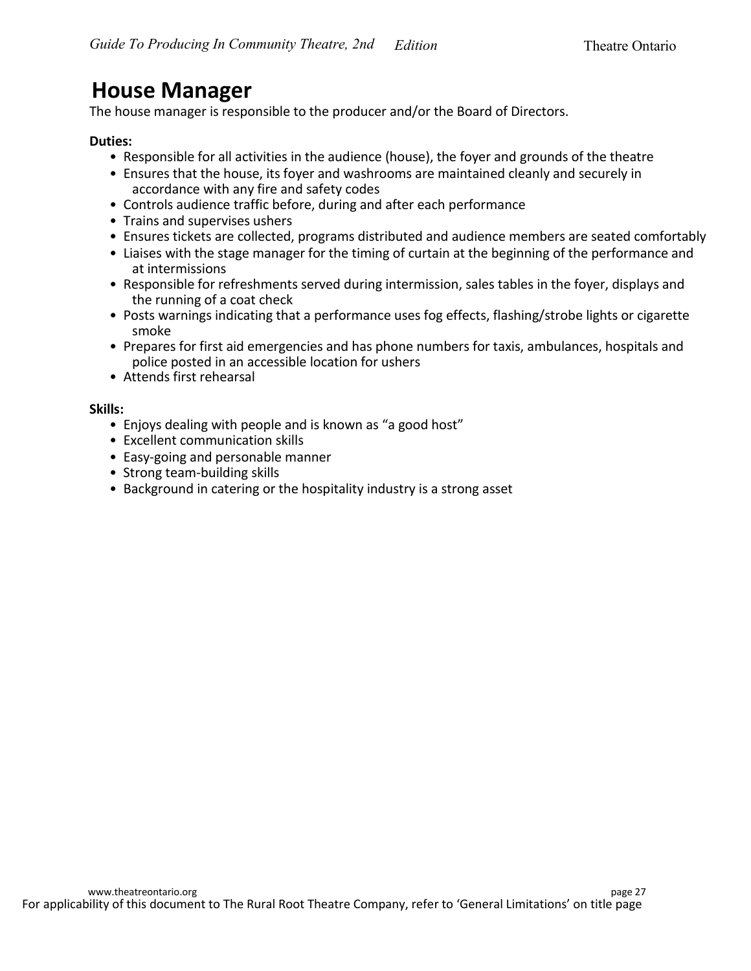### **House Manager**

The house manager is responsible to the producer and/or the Board of Directors.

#### **Duties:**

- Responsible for all activities in the audience (house), the foyer and grounds of the theatre
- Ensures that the house, its foyer and washrooms are maintained cleanly and securely in accordance with any fire and safety codes
- Controls audience traffic before, during and after each performance
- Trains and supervises ushers
- Ensures tickets are collected, programs distributed and audience members are seated comfortably
- Liaises with the stage manager for the timing of curtain at the beginning of the performance and at intermissions
- Responsible for refreshments served during intermission, sales tables in the foyer, displays and the running of a coat check
- Posts warnings indicating that a performance uses fog effects, flashing/strobe lights or cigarette smoke
- Prepares for first aid emergencies and has phone numbers for taxis, ambulances, hospitals and police posted in an accessible location for ushers
- Attends first rehearsal

#### **Skills:**

- Enjoys dealing with people and is known as "a good host"
- Excellent communication skills
- Easy-going and personable manner
- Strong team-building skills
- Background in catering or the hospitality industry is a strong asset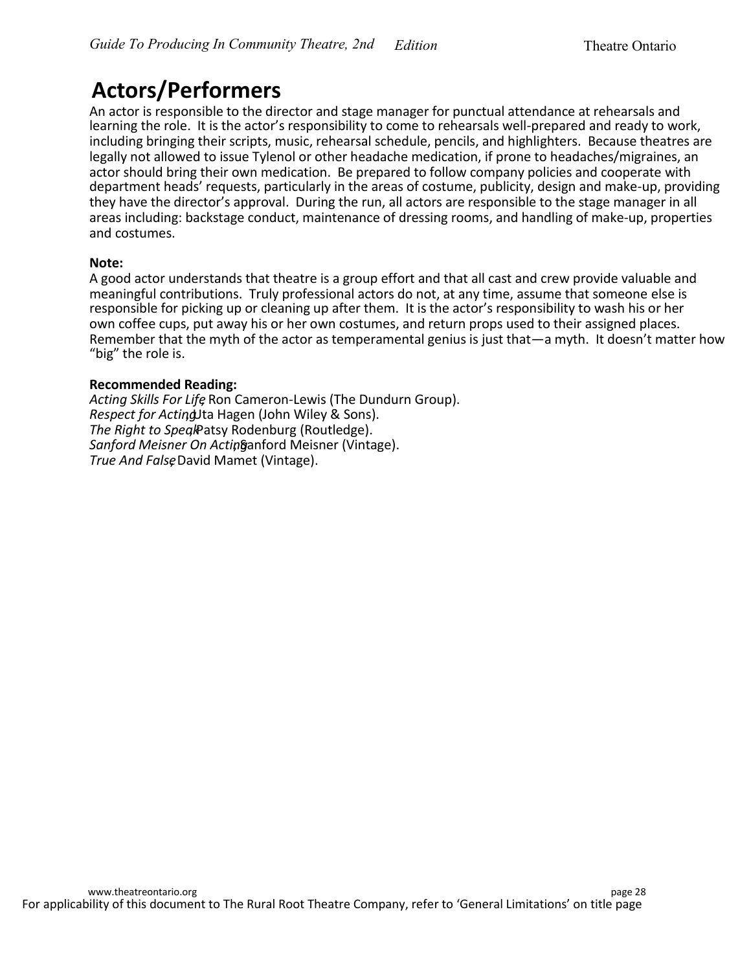### **Actors/Performers**

An actor is responsible to the director and stage manager for punctual attendance at rehearsals and learning the role. It is the actor's responsibility to come to rehearsals well-prepared and ready to work, including bringing their scripts, music, rehearsal schedule, pencils, and highlighters. Because theatres are legally not allowed to issue Tylenol or other headache medication, if prone to headaches/migraines, an actor should bring their own medication. Be prepared to follow company policies and cooperate with department heads' requests, particularly in the areas of costume, publicity, design and make-up, providing they have the director's approval. During the run, all actors are responsible to the stage manager in all areas including: backstage conduct, maintenance of dressing rooms, and handling of make-up, properties and costumes.

#### **Note:**

A good actor understands that theatre is a group effort and that all cast and crew provide valuable and meaningful contributions. Truly professional actors do not, at any time, assume that someone else is responsible for picking up or cleaning up after them. It is the actor's responsibility to wash his or her own coffee cups, put away his or her own costumes, and return props used to their assigned places. Remember that the myth of the actor as temperamental genius is just that—a myth. It doesn't matter how "big" the role is.

#### **Recommended Reading:**

*Acting Skills For Life*, Ron Cameron-Lewis (The Dundurn Group). *Respect for Actind*, Hagen (John Wiley & Sons). *The Right to Speal*Patsy Rodenburg (Routledge). Sanford Meisner On Actinganford Meisner (Vintage). *True And False* David Mamet (Vintage).